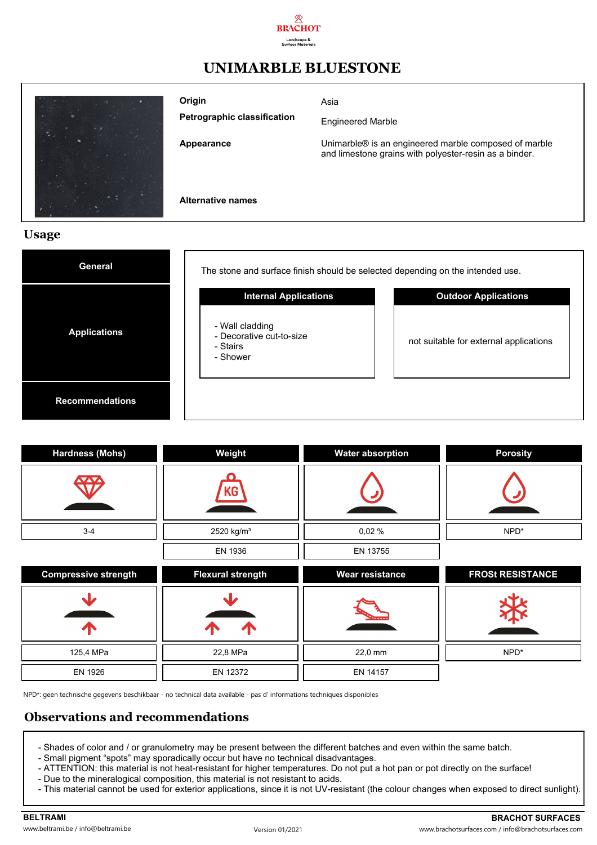

## **UNIMARBLE BLUESTONE**

| <b>Alternative names</b>                     |                                                                                                                 |
|----------------------------------------------|-----------------------------------------------------------------------------------------------------------------|
| Appearance                                   | Unimarble® is an engineered marble composed of marble<br>and limestone grains with polyester-resin as a binder. |
| Origin<br><b>Petrographic classification</b> | Asia<br><b>Engineered Marble</b>                                                                                |

#### **Usage**

| <b>General</b>         | The stone and surface finish should be selected depending on the intended use. |                                        |
|------------------------|--------------------------------------------------------------------------------|----------------------------------------|
|                        | <b>Internal Applications</b>                                                   | <b>Outdoor Applications</b>            |
| <b>Applications</b>    | - Wall cladding<br>- Decorative cut-to-size<br>- Stairs<br>- Shower            | not suitable for external applications |
| <b>Recommendations</b> |                                                                                |                                        |

| <b>Hardness (Mohs)</b>      | Weight                   | <b>Water absorption</b> | <b>Porosity</b>         |
|-----------------------------|--------------------------|-------------------------|-------------------------|
|                             | KG                       |                         |                         |
| $3 - 4$                     | 2520 kg/m <sup>3</sup>   | 0,02%                   | NPD*                    |
|                             | EN 1936                  | EN 13755                |                         |
|                             |                          |                         |                         |
| <b>Compressive strength</b> | <b>Flexural strength</b> | <b>Wear resistance</b>  | <b>FROSt RESISTANCE</b> |
| sĿ<br>$\sqrt{N}$            | Л<br>$\sqrt{}$           |                         |                         |
| 125,4 MPa                   | 22,8 MPa                 | 22,0 mm                 | NPD*                    |

NPD\*: geen technische gegevens beschikbaar - no technical data available - pas d' informations techniques disponibles

#### **Observations and recommendations**

- Shades of color and / or granulometry may be present between the different batches and even within the same batch.
- Small pigment "spots" may sporadically occur but have no technical disadvantages.
- ATTENTION: this material is not heat-resistant for higher temperatures. Do not put a hot pan or pot directly on the surface!
- Due to the mineralogical composition, this material is not resistant to acids.
- This material cannot be used for exterior applications, since it is not UV-resistant (the colour changes when exposed to direct sunlight).